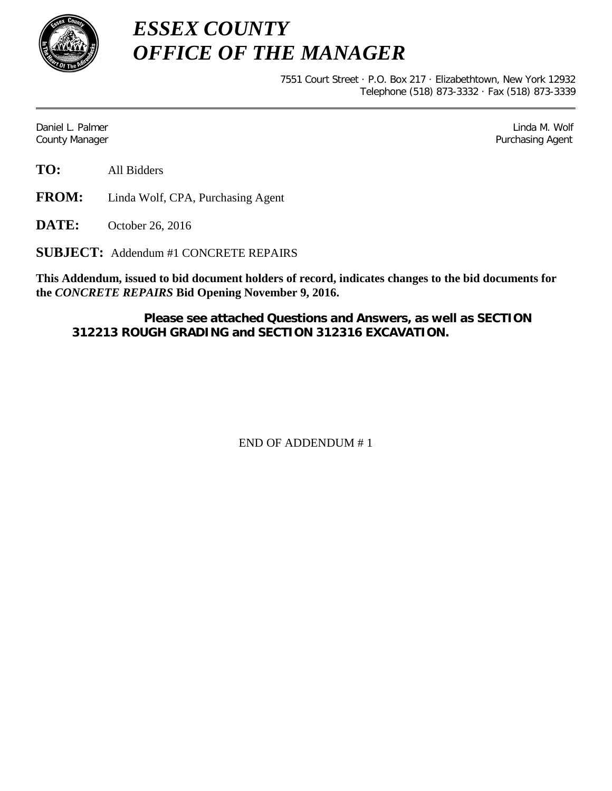

*ESSEX COUNTY OFFICE OF THE MANAGER*

> 7551 Court Street · P.O. Box 217 · Elizabethtown, New York 12932 Telephone (518) 873-3332 · Fax (518) 873-3339

Daniel L. Palmer Later and the control of the control of the control of the control of the control of the control of the control of the control of the control of the control of the control of the control of the control of County Manager **Purchasing Agent** County Manager **Purchasing Agent** County Manager

**TO:** All Bidders

**FROM:** Linda Wolf, CPA, Purchasing Agent

**DATE:** October 26, 2016

**SUBJECT:** Addendum #1 CONCRETE REPAIRS

**This Addendum, issued to bid document holders of record, indicates changes to the bid documents for the** *CONCRETE REPAIRS* **Bid Opening November 9, 2016.**

**Please see attached Questions and Answers, as well as SECTION 312213 ROUGH GRADING and SECTION 312316 EXCAVATION.**

END OF ADDENDUM # 1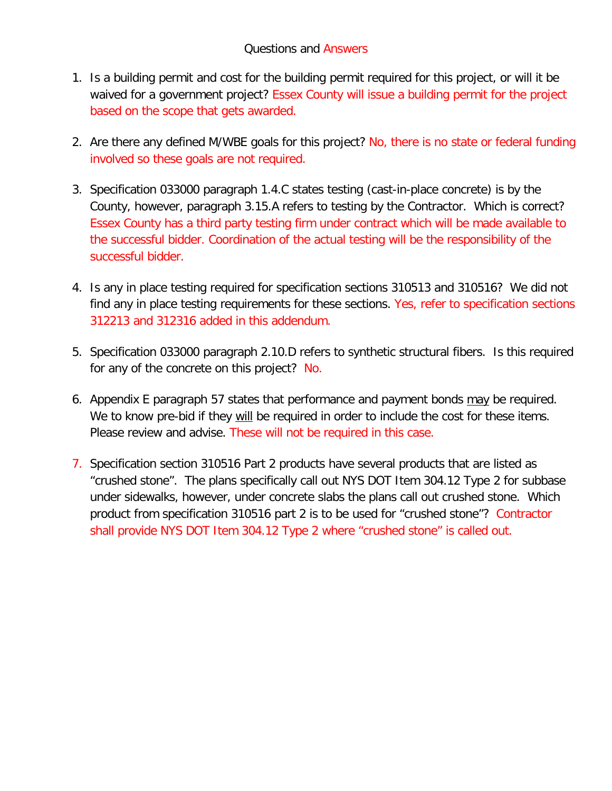# Questions and Answers

- 1. Is a building permit and cost for the building permit required for this project, or will it be waived for a government project? Essex County will issue a building permit for the project based on the scope that gets awarded.
- 2. Are there any defined M/WBE goals for this project? No, there is no state or federal funding involved so these goals are not required.
- 3. Specification 033000 paragraph 1.4.C states testing (cast-in-place concrete) is by the County, however, paragraph 3.15.A refers to testing by the Contractor. Which is correct? Essex County has a third party testing firm under contract which will be made available to the successful bidder. Coordination of the actual testing will be the responsibility of the successful bidder.
- 4. Is any in place testing required for specification sections 310513 and 310516? We did not find any in place testing requirements for these sections. Yes, refer to specification sections 312213 and 312316 added in this addendum.
- 5. Specification 033000 paragraph 2.10.D refers to synthetic structural fibers. Is this required for any of the concrete on this project? No.
- 6. Appendix E paragraph 57 states that performance and payment bonds may be required. We to know pre-bid if they will be required in order to include the cost for these items. Please review and advise. These will not be required in this case.
- 7. Specification section 310516 Part 2 products have several products that are listed as "crushed stone". The plans specifically call out NYS DOT Item 304.12 Type 2 for subbase under sidewalks, however, under concrete slabs the plans call out crushed stone. Which product from specification 310516 part 2 is to be used for "crushed stone"? Contractor shall provide NYS DOT Item 304.12 Type 2 where "crushed stone" is called out.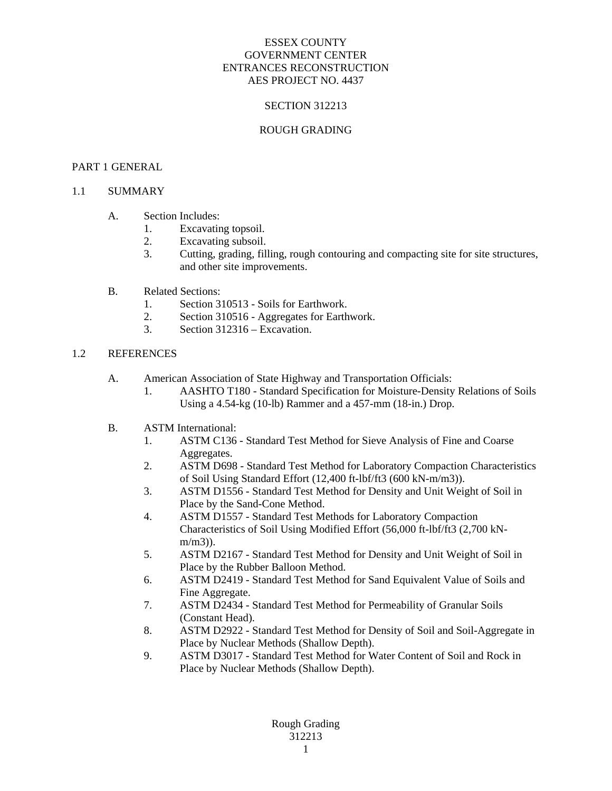### SECTION 312213

#### ROUGH GRADING

#### PART 1 GENERAL

# 1.1 SUMMARY

#### A. Section Includes:

- 1. Excavating topsoil.
- 2. Excavating subsoil.
- 3. Cutting, grading, filling, rough contouring and compacting site for site structures, and other site improvements.
- B. Related Sections:
	- 1. Section 310513 Soils for Earthwork.
	- 2. Section 310516 Aggregates for Earthwork.
	- 3. Section 312316 Excavation.

### 1.2 REFERENCES

- A. American Association of State Highway and Transportation Officials:
	- 1. AASHTO T180 Standard Specification for Moisture-Density Relations of Soils Using a 4.54-kg (10-lb) Rammer and a 457-mm (18-in.) Drop.
- B. ASTM International:
	- 1. ASTM C136 Standard Test Method for Sieve Analysis of Fine and Coarse Aggregates.
	- 2. ASTM D698 Standard Test Method for Laboratory Compaction Characteristics of Soil Using Standard Effort (12,400 ft-lbf/ft3 (600 kN-m/m3)).
	- 3. ASTM D1556 Standard Test Method for Density and Unit Weight of Soil in Place by the Sand-Cone Method.
	- 4. ASTM D1557 Standard Test Methods for Laboratory Compaction Characteristics of Soil Using Modified Effort (56,000 ft-lbf/ft3 (2,700 kNm/m3)).
	- 5. ASTM D2167 Standard Test Method for Density and Unit Weight of Soil in Place by the Rubber Balloon Method.
	- 6. ASTM D2419 Standard Test Method for Sand Equivalent Value of Soils and Fine Aggregate.
	- 7. ASTM D2434 Standard Test Method for Permeability of Granular Soils (Constant Head).
	- 8. ASTM D2922 Standard Test Method for Density of Soil and Soil-Aggregate in Place by Nuclear Methods (Shallow Depth).
	- 9. ASTM D3017 Standard Test Method for Water Content of Soil and Rock in Place by Nuclear Methods (Shallow Depth).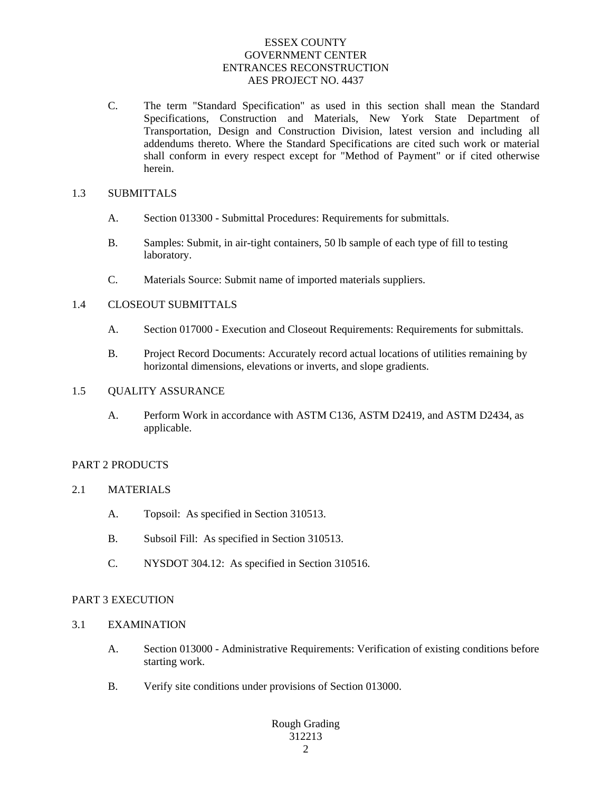C. The term "Standard Specification" as used in this section shall mean the Standard Specifications, Construction and Materials, New York State Department of Transportation, Design and Construction Division, latest version and including all addendums thereto. Where the Standard Specifications are cited such work or material shall conform in every respect except for "Method of Payment" or if cited otherwise herein.

#### 1.3 SUBMITTALS

- A. Section 013300 Submittal Procedures: Requirements for submittals.
- B. Samples: Submit, in air-tight containers, 50 lb sample of each type of fill to testing laboratory.
- C. Materials Source: Submit name of imported materials suppliers.

### 1.4 CLOSEOUT SUBMITTALS

- A. Section 017000 Execution and Closeout Requirements: Requirements for submittals.
- B. Project Record Documents: Accurately record actual locations of utilities remaining by horizontal dimensions, elevations or inverts, and slope gradients.

#### 1.5 OUALITY ASSURANCE

A. Perform Work in accordance with ASTM C136, ASTM D2419, and ASTM D2434, as applicable.

### PART 2 PRODUCTS

- 2.1 MATERIALS
	- A. Topsoil: As specified in Section 310513.
	- B. Subsoil Fill: As specified in Section 310513.
	- C. NYSDOT 304.12: As specified in Section 310516.

### PART 3 EXECUTION

- 3.1 EXAMINATION
	- A. Section 013000 Administrative Requirements: Verification of existing conditions before starting work.
	- B. Verify site conditions under provisions of Section 013000.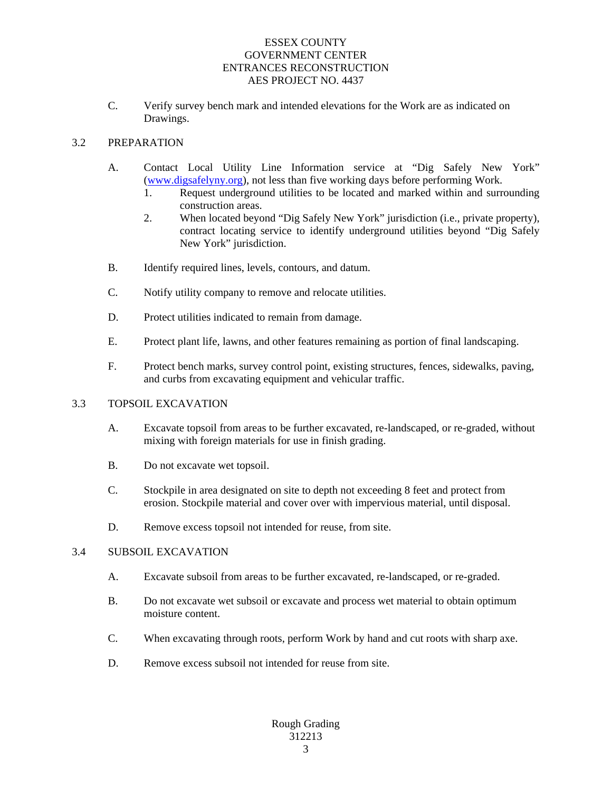C. Verify survey bench mark and intended elevations for the Work are as indicated on Drawings.

# 3.2 PREPARATION

- A. Contact Local Utility Line Information service at "Dig Safely New York" (www.digsafelyny.org), not less than five working days before performing Work.
	- 1. Request underground utilities to be located and marked within and surrounding construction areas.
	- 2. When located beyond "Dig Safely New York" jurisdiction (i.e., private property), contract locating service to identify underground utilities beyond "Dig Safely New York" jurisdiction.
- B. Identify required lines, levels, contours, and datum.
- C. Notify utility company to remove and relocate utilities.
- D. Protect utilities indicated to remain from damage.
- E. Protect plant life, lawns, and other features remaining as portion of final landscaping.
- F. Protect bench marks, survey control point, existing structures, fences, sidewalks, paving, and curbs from excavating equipment and vehicular traffic.

### 3.3 TOPSOIL EXCAVATION

- A. Excavate topsoil from areas to be further excavated, re-landscaped, or re-graded, without mixing with foreign materials for use in finish grading.
- B. Do not excavate wet topsoil.
- C. Stockpile in area designated on site to depth not exceeding 8 feet and protect from erosion. Stockpile material and cover over with impervious material, until disposal.
- D. Remove excess topsoil not intended for reuse, from site.

### 3.4 SUBSOIL EXCAVATION

- A. Excavate subsoil from areas to be further excavated, re-landscaped, or re-graded.
- B. Do not excavate wet subsoil or excavate and process wet material to obtain optimum moisture content.
- C. When excavating through roots, perform Work by hand and cut roots with sharp axe.
- D. Remove excess subsoil not intended for reuse from site.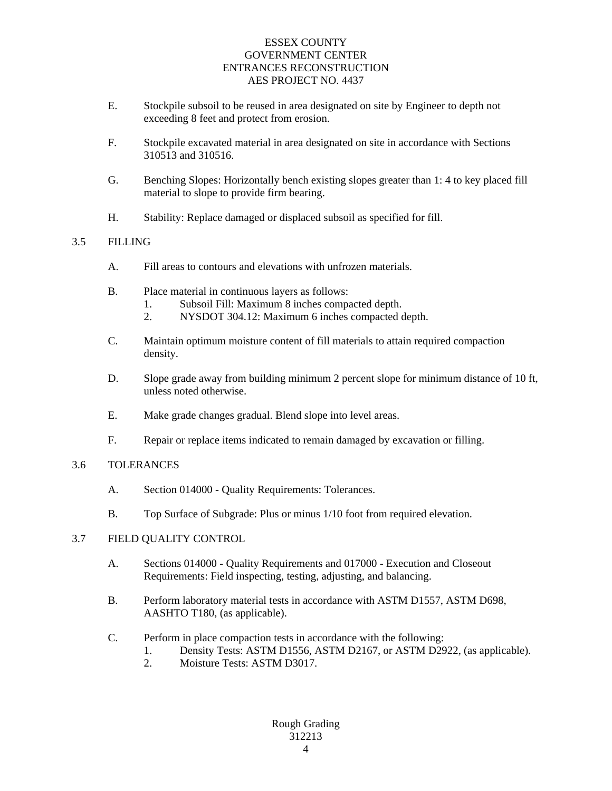- E. Stockpile subsoil to be reused in area designated on site by Engineer to depth not exceeding 8 feet and protect from erosion.
- F. Stockpile excavated material in area designated on site in accordance with Sections 310513 and 310516.
- G. Benching Slopes: Horizontally bench existing slopes greater than 1: 4 to key placed fill material to slope to provide firm bearing.
- H. Stability: Replace damaged or displaced subsoil as specified for fill.

# 3.5 FILLING

- A. Fill areas to contours and elevations with unfrozen materials.
- B. Place material in continuous layers as follows:
	- 1. Subsoil Fill: Maximum 8 inches compacted depth.
	- 2. NYSDOT 304.12: Maximum 6 inches compacted depth.
- C. Maintain optimum moisture content of fill materials to attain required compaction density.
- D. Slope grade away from building minimum 2 percent slope for minimum distance of 10 ft, unless noted otherwise.
- E. Make grade changes gradual. Blend slope into level areas.
- F. Repair or replace items indicated to remain damaged by excavation or filling.

# 3.6 TOLERANCES

- A. Section 014000 Quality Requirements: Tolerances.
- B. Top Surface of Subgrade: Plus or minus 1/10 foot from required elevation.

# 3.7 FIELD QUALITY CONTROL

- A. Sections 014000 Quality Requirements and 017000 Execution and Closeout Requirements: Field inspecting, testing, adjusting, and balancing.
- B. Perform laboratory material tests in accordance with ASTM D1557, ASTM D698, AASHTO T180, (as applicable).
- C. Perform in place compaction tests in accordance with the following:
	- 1. Density Tests: ASTM D1556, ASTM D2167, or ASTM D2922, (as applicable).
	- 2. Moisture Tests: ASTM D3017.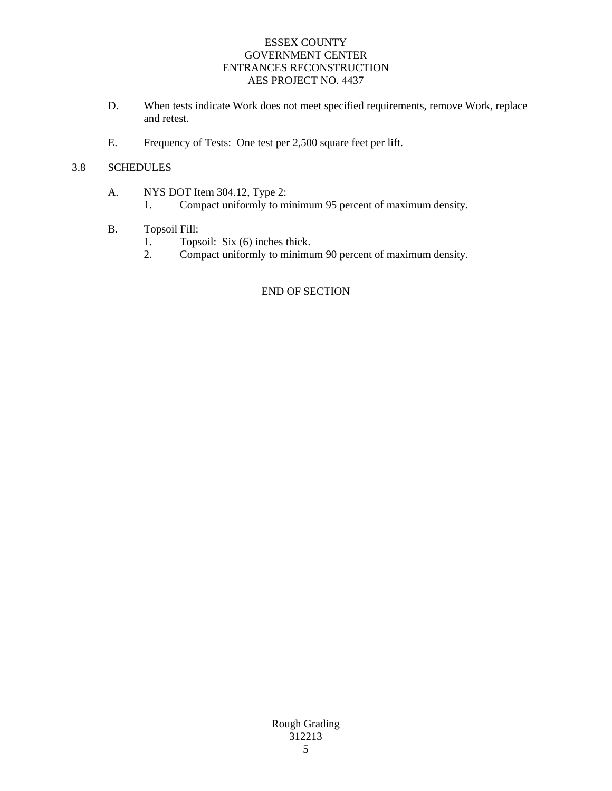- D. When tests indicate Work does not meet specified requirements, remove Work, replace and retest.
- E. Frequency of Tests: One test per 2,500 square feet per lift.

# 3.8 SCHEDULES

- A. NYS DOT Item 304.12, Type 2:
	- 1. Compact uniformly to minimum 95 percent of maximum density.
- B. Topsoil Fill:
	- 1. Topsoil: Six (6) inches thick.<br>2. Compact uniformly to minimum
	- 2. Compact uniformly to minimum 90 percent of maximum density.

# END OF SECTION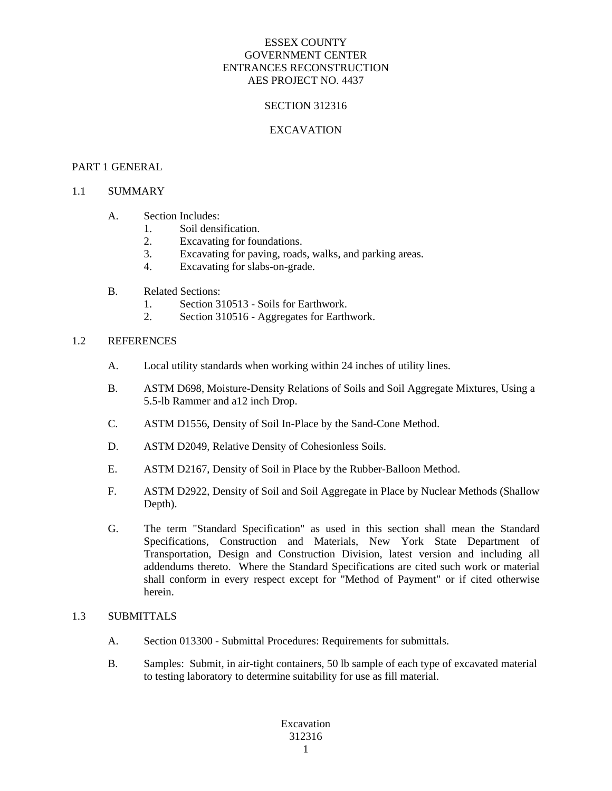### SECTION 312316

### EXCAVATION

#### PART 1 GENERAL

#### 1.1 SUMMARY

### A. Section Includes:

- 1. Soil densification.
- 2. Excavating for foundations.
- 3. Excavating for paving, roads, walks, and parking areas.
- 4. Excavating for slabs-on-grade.
- B. Related Sections:
	- 1. Section 310513 Soils for Earthwork.
	- 2. Section 310516 Aggregates for Earthwork.

#### 1.2 REFERENCES

- A. Local utility standards when working within 24 inches of utility lines.
- B. ASTM D698, Moisture-Density Relations of Soils and Soil Aggregate Mixtures, Using a 5.5-lb Rammer and a12 inch Drop.
- C. ASTM D1556, Density of Soil In-Place by the Sand-Cone Method.
- D. ASTM D2049, Relative Density of Cohesionless Soils.
- E. ASTM D2167, Density of Soil in Place by the Rubber-Balloon Method.
- F. ASTM D2922, Density of Soil and Soil Aggregate in Place by Nuclear Methods (Shallow Depth).
- G. The term "Standard Specification" as used in this section shall mean the Standard Specifications, Construction and Materials, New York State Department of Transportation, Design and Construction Division, latest version and including all addendums thereto. Where the Standard Specifications are cited such work or material shall conform in every respect except for "Method of Payment" or if cited otherwise herein.

# 1.3 SUBMITTALS

- A. Section 013300 Submittal Procedures: Requirements for submittals.
- B. Samples: Submit, in air-tight containers, 50 lb sample of each type of excavated material to testing laboratory to determine suitability for use as fill material.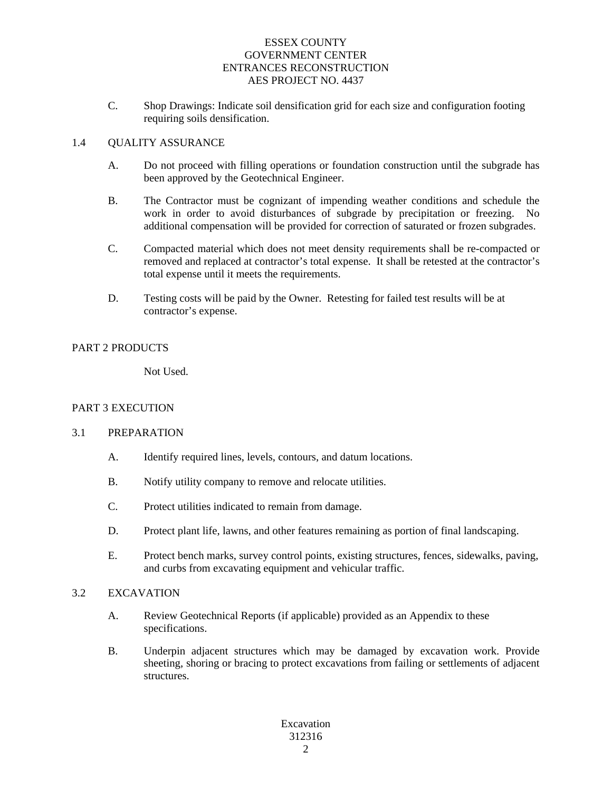C. Shop Drawings: Indicate soil densification grid for each size and configuration footing requiring soils densification.

### 1.4 QUALITY ASSURANCE

- A. Do not proceed with filling operations or foundation construction until the subgrade has been approved by the Geotechnical Engineer.
- B. The Contractor must be cognizant of impending weather conditions and schedule the work in order to avoid disturbances of subgrade by precipitation or freezing. No additional compensation will be provided for correction of saturated or frozen subgrades.
- C. Compacted material which does not meet density requirements shall be re-compacted or removed and replaced at contractor's total expense. It shall be retested at the contractor's total expense until it meets the requirements.
- D. Testing costs will be paid by the Owner. Retesting for failed test results will be at contractor's expense.

# PART 2 PRODUCTS

Not Used.

### PART 3 EXECUTION

### 3.1 PREPARATION

- A. Identify required lines, levels, contours, and datum locations.
- B. Notify utility company to remove and relocate utilities.
- C. Protect utilities indicated to remain from damage.
- D. Protect plant life, lawns, and other features remaining as portion of final landscaping.
- E. Protect bench marks, survey control points, existing structures, fences, sidewalks, paving, and curbs from excavating equipment and vehicular traffic.

### 3.2 EXCAVATION

- A. Review Geotechnical Reports (if applicable) provided as an Appendix to these specifications.
- B. Underpin adjacent structures which may be damaged by excavation work. Provide sheeting, shoring or bracing to protect excavations from failing or settlements of adjacent structures.